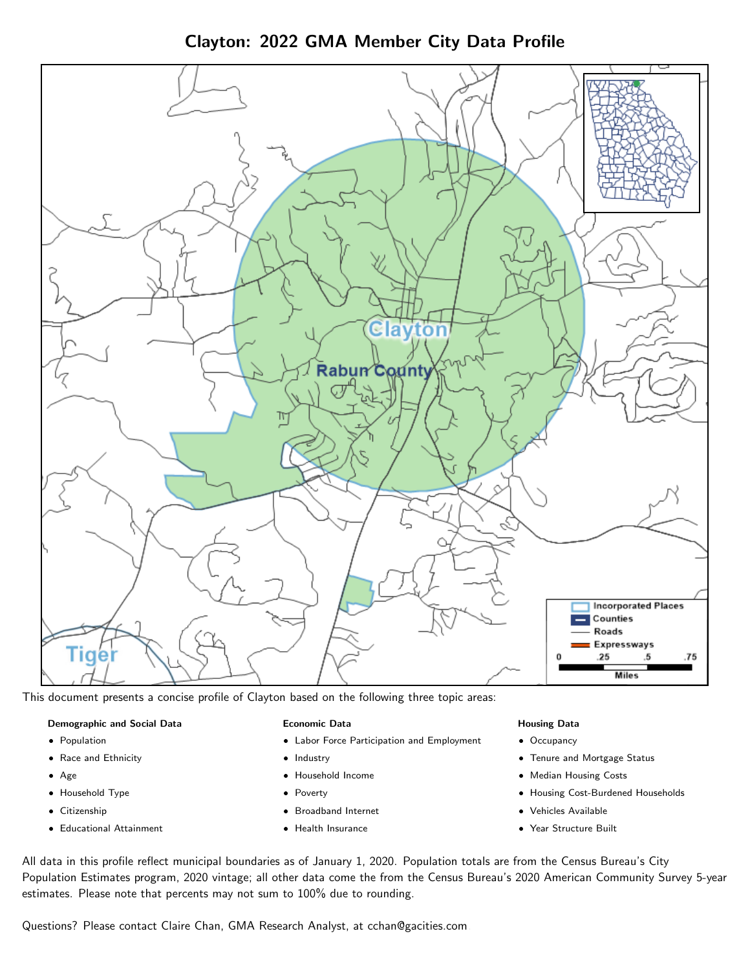Clayton: 2022 GMA Member City Data Profile



This document presents a concise profile of Clayton based on the following three topic areas:

### Demographic and Social Data

- **•** Population
- Race and Ethnicity
- Age
- Household Type
- **Citizenship**
- Educational Attainment

### Economic Data

- Labor Force Participation and Employment
- Industry
- Household Income
- Poverty
- Broadband Internet
- Health Insurance

### Housing Data

- Occupancy
- Tenure and Mortgage Status
- Median Housing Costs
- Housing Cost-Burdened Households
- Vehicles Available
- Year Structure Built

All data in this profile reflect municipal boundaries as of January 1, 2020. Population totals are from the Census Bureau's City Population Estimates program, 2020 vintage; all other data come the from the Census Bureau's 2020 American Community Survey 5-year estimates. Please note that percents may not sum to 100% due to rounding.

Questions? Please contact Claire Chan, GMA Research Analyst, at [cchan@gacities.com.](mailto:cchan@gacities.com)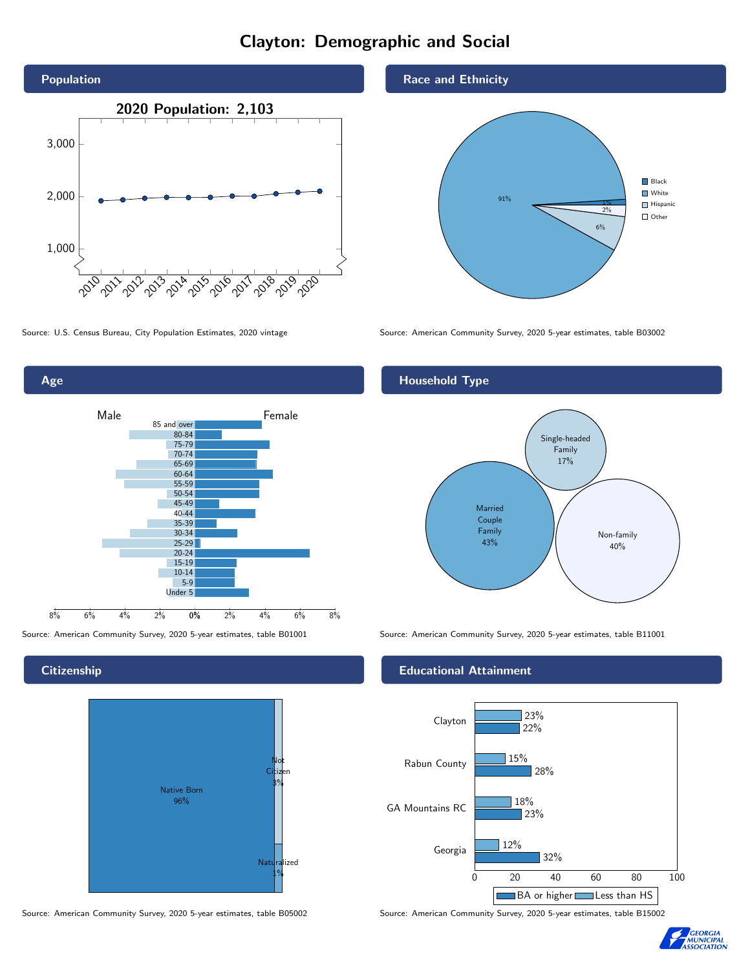# Clayton: Demographic and Social





**Citizenship** 



Source: American Community Survey, 2020 5-year estimates, table B05002 Source: American Community Survey, 2020 5-year estimates, table B15002

# Race and Ethnicity



Source: U.S. Census Bureau, City Population Estimates, 2020 vintage Source: American Community Survey, 2020 5-year estimates, table B03002

# Household Type



Source: American Community Survey, 2020 5-year estimates, table B01001 Source: American Community Survey, 2020 5-year estimates, table B11001

# Educational Attainment



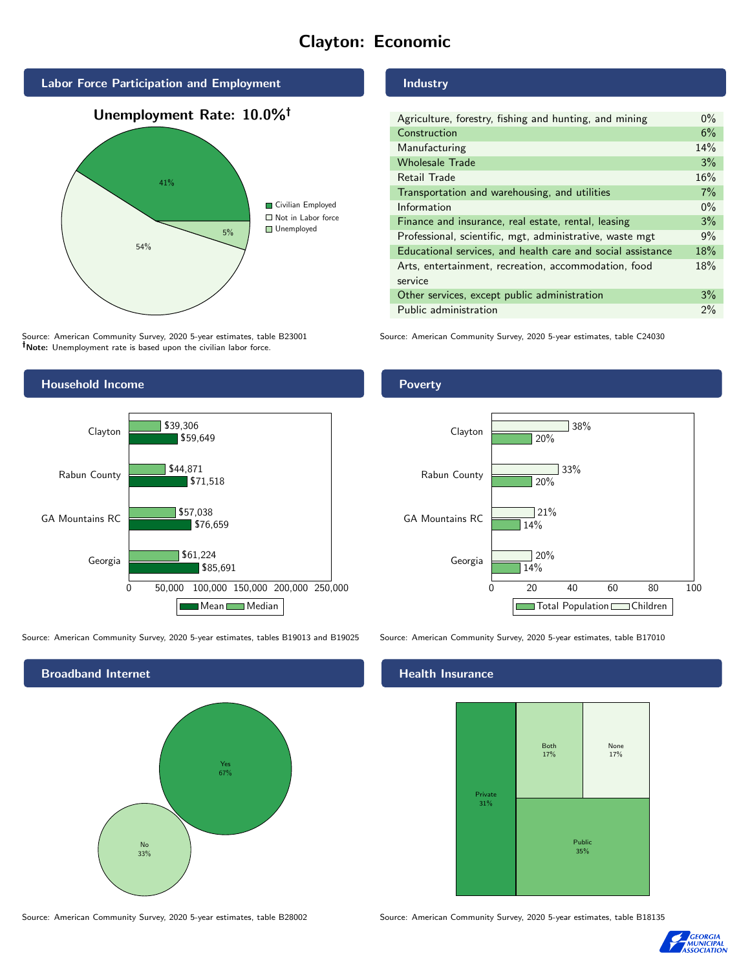# Clayton: Economic



Source: American Community Survey, 2020 5-year estimates, table B23001 Note: Unemployment rate is based upon the civilian labor force.

# Industry

| Agriculture, forestry, fishing and hunting, and mining      | $0\%$ |
|-------------------------------------------------------------|-------|
| Construction                                                | 6%    |
| Manufacturing                                               | 14%   |
| <b>Wholesale Trade</b>                                      | 3%    |
| Retail Trade                                                | 16%   |
| Transportation and warehousing, and utilities               | 7%    |
| Information                                                 | $0\%$ |
| Finance and insurance, real estate, rental, leasing         | 3%    |
| Professional, scientific, mgt, administrative, waste mgt    | 9%    |
| Educational services, and health care and social assistance | 18%   |
| Arts, entertainment, recreation, accommodation, food        | 18%   |
| service                                                     |       |
| Other services, except public administration                | 3%    |
| Public administration                                       | 2%    |

Source: American Community Survey, 2020 5-year estimates, table C24030



Source: American Community Survey, 2020 5-year estimates, tables B19013 and B19025 Source: American Community Survey, 2020 5-year estimates, table B17010

Broadband Internet No 33% Yes 67%

# Health Insurance



Source: American Community Survey, 2020 5-year estimates, table B28002 Source: American Community Survey, 2020 5-year estimates, table B18135



# **Poverty**